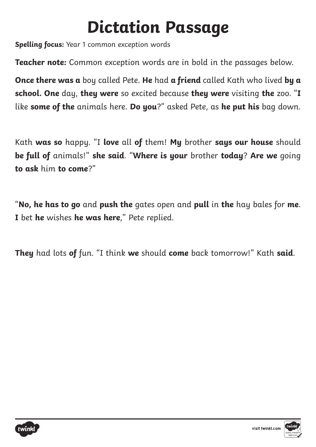## **Dictation Passage**

**Spelling focus:** Year 1 common exception words

**Teacher note:** Common exception words are in bold in the passages below.

**Once there was a** boy called Pete. **He** had **a friend** called Kath who lived **by a school. One** day, **they were** so excited because **they were** visiting **the** zoo. "**I** like **some of the** animals here. **Do you**?" asked Pete, as **he put his** bag down.

Kath **was so** happy. "I **love** all **of** them! **My** brother **says our house** should **be full of** animals!" **she said**. "**Where is your** brother **today**? **Are we** going **to ask** him **to come**?"

"**No, he has to go** and **push the** gates open and **pull** in **the** hay bales for **me**. **I** bet **he** wishes **he was here**," Pete replied.

**They** had lots **of** fun. "I think **we** should **come** back tomorrow!" Kath **said**.



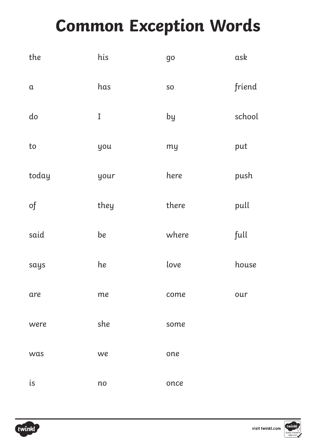## **Common Exception Words**

| the       | his  | go    | ask    |
|-----------|------|-------|--------|
| $\alpha$  | has  | SO    | friend |
| do        | I    | by    | school |
| to        | you  | my    | put    |
| today     | your | here  | push   |
| $\circ f$ | they | there | pull   |
| said      | be   | where | full   |
| says      | he   | love  | house  |
| are       | me   | come  | our    |
| were      | she  | some  |        |
| was       | we   | one   |        |
| is        | no   | once  |        |



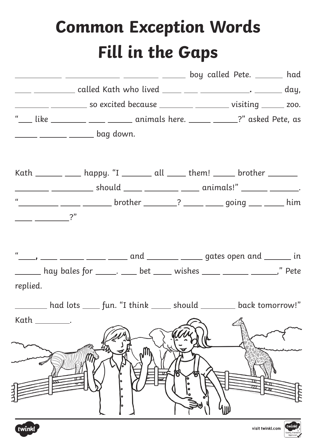## **Common Exception Words Fill in the Gaps**

|                      | ____ ___________ called Kath who lived _____ ___ _________________. _______ day,       |  |  |
|----------------------|----------------------------------------------------------------------------------------|--|--|
|                      | _________ ____________ so excited because _________ ____________ visiting _______ zoo. |  |  |
|                      | "___ like ________ ____ ______ animals here. _____ ______?" asked Pete, as             |  |  |
|                      | <b>1000 marsh 1000 marsh 1000 marsh 1000 marsh 1000 marsh 1000 ml</b>                  |  |  |
|                      | Kath ______ ____ happy. "I _______ all _____ them! _____ brother _______               |  |  |
|                      | _______ ____________ should _____ ______ _____ animals!" ______ _______.               |  |  |
|                      | "_________ ________________ brother ________? __________ going ____ ______ him         |  |  |
| $\frac{1}{\sqrt{2}}$ | $\frac{u}{2}$ , ____ ____ ____ ____ and ______ _____ gates open and ______ in          |  |  |
|                      |                                                                                        |  |  |
| replied.             | _______ hay bales for ______. _____ bet _____ wishes _____ _______ _______," Pete      |  |  |
|                      | had lots    fun. "I think    should       back tomorrow!"                              |  |  |
| Kath                 |                                                                                        |  |  |